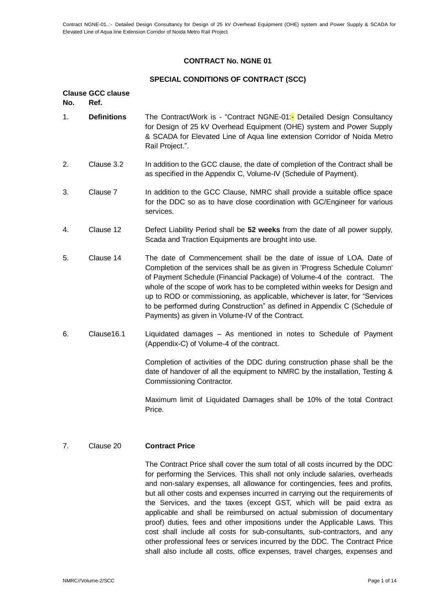# **CONTRACT No. NGNE 01**

## **SPECIAL CONDITIONS OF CONTRACT (SCC)**

#### **Clause GCC clause No. Ref.**

- 1. **Definitions** The Contract/Work is "Contract NGNE-01:<sup>-</sup> Detailed Design Consultancy for Design of 25 kV Overhead Equipment (OHE) system and Power Supply & SCADA for Elevated Line of Aqua line extension Corridor of Noida Metro Rail Project.".
- 2. Clause 3.2 In addition to the GCC clause, the date of completion of the Contract shall be as specified in the Appendix C, Volume-IV (Schedule of Payment).
- 3. Clause 7 In addition to the GCC Clause, NMRC shall provide a suitable office space for the DDC so as to have close coordination with GC/Engineer for various services.
- 4. Clause 12 Defect Liability Period shall be **52 weeks** from the date of all power supply, Scada and Traction Equipments are brought into use.
- 5. Clause 14 The date of Commencement shall be the date of issue of LOA. Date of Completion of the services shall be as given in 'Progress Schedule Column' of Payment Schedule (Financial Package) of Volume-4 of the contract. The whole of the scope of work has to be completed within weeks for Design and up to ROD or commissioning, as applicable, whichever is later, for "Services to be performed during Construction" as defined in Appendix C (Schedule of Payments) as given in Volume-IV of the Contract.
- 6. Clause16.1 Liquidated damages As mentioned in notes to Schedule of Payment (Appendix-C) of Volume-4 of the contract.

Completion of activities of the DDC during construction phase shall be the date of handover of all the equipment to NMRC by the installation, Testing & Commissioning Contractor.

Maximum limit of Liquidated Damages shall be 10% of the total Contract Price.

# 7. Clause 20 **Contract Price**

The Contract Price shall cover the sum total of all costs incurred by the DDC for performing the Services. This shall not only include salaries, overheads and non-salary expenses, all allowance for contingencies, fees and profits, but all other costs and expenses incurred in carrying out the requirements of the Services, and the taxes (except GST, which will be paid extra as applicable and shall be reimbursed on actual submission of documentary proof) duties, fees and other impositions under the Applicable Laws. This cost shall include all costs for sub-consultants, sub-contractors, and any other professional fees or services incurred by the DDC. The Contract Price shall also include all costs, office expenses, travel charges, expenses and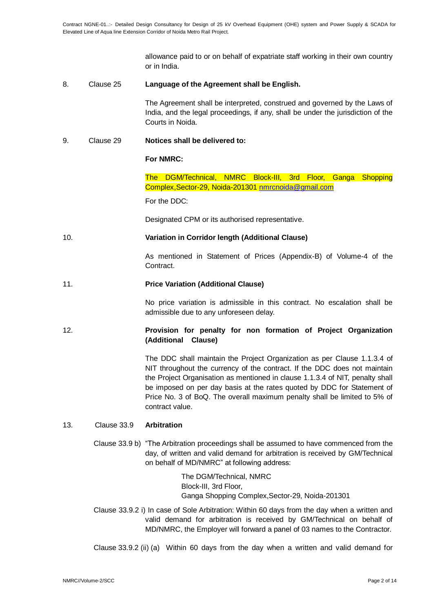allowance paid to or on behalf of expatriate staff working in their own country or in India.

### 8. Clause 25 **Language of the Agreement shall be English.**

The Agreement shall be interpreted, construed and governed by the Laws of India, and the legal proceedings, if any, shall be under the jurisdiction of the Courts in Noida.

# 9. Clause 29 **Notices shall be delivered to:**

#### **For NMRC:**

The DGM/Technical, NMRC Block-III, 3rd Floor, Ganga Shopping Complex,Sector-29, Noida-201301 [nmrcnoida@gmail.com](mailto:nmrcnoida@gmail.com)

For the DDC:

Designated CPM or its authorised representative.

# 10. **Variation in Corridor length (Additional Clause)**

As mentioned in Statement of Prices (Appendix-B) of Volume-4 of the Contract.

#### 11. **Price Variation (Additional Clause)**

No price variation is admissible in this contract. No escalation shall be admissible due to any unforeseen delay.

# 12. **Provision for penalty for non formation of Project Organization (Additional Clause)**

The DDC shall maintain the Project Organization as per Clause 1.1.3.4 of NIT throughout the currency of the contract. If the DDC does not maintain the Project Organisation as mentioned in clause 1.1.3.4 of NIT, penalty shall be imposed on per day basis at the rates quoted by DDC for Statement of Price No. 3 of BoQ. The overall maximum penalty shall be limited to 5% of contract value.

#### 13. Clause 33.9 **Arbitration**

Clause 33.9 b) "The Arbitration proceedings shall be assumed to have commenced from the day, of written and valid demand for arbitration is received by GM/Technical on behalf of MD/NMRC" at following address:

> The DGM/Technical, NMRC Block-III, 3rd Floor, Ganga Shopping Complex,Sector-29, Noida-201301

- Clause 33.9.2 i) In case of Sole Arbitration: Within 60 days from the day when a written and valid demand for arbitration is received by GM/Technical on behalf of MD/NMRC, the Employer will forward a panel of 03 names to the Contractor.
- Clause 33.9.2 (ii) (a) Within 60 days from the day when a written and valid demand for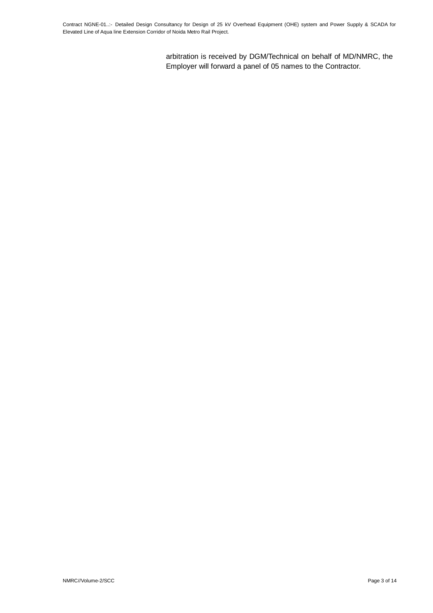arbitration is received by DGM/Technical on behalf of MD/NMRC, the Employer will forward a panel of 05 names to the Contractor.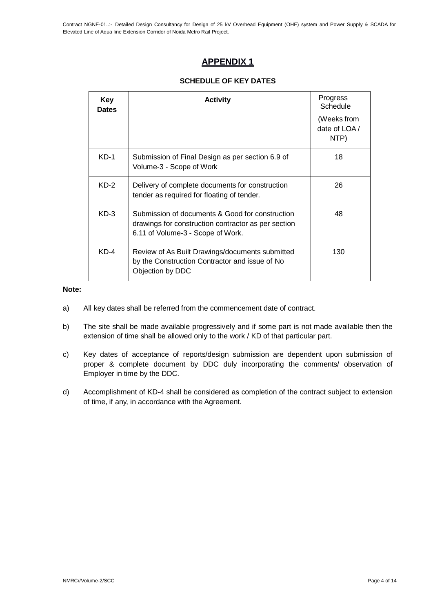Contract NGNE-01..:- Detailed Design Consultancy for Design of 25 kV Overhead Equipment (OHE) system and Power Supply & SCADA for Elevated Line of Aqua line Extension Corridor of Noida Metro Rail Project.

# **APPENDIX 1**

# **SCHEDULE OF KEY DATES**

| Key<br><b>Dates</b> | <b>Activity</b>                                                                                                                             | Progress<br>Schedule                  |
|---------------------|---------------------------------------------------------------------------------------------------------------------------------------------|---------------------------------------|
|                     |                                                                                                                                             | (Weeks from<br>date of $LOA/$<br>NTP) |
| $KD-1$              | Submission of Final Design as per section 6.9 of<br>Volume-3 - Scope of Work                                                                | 18                                    |
| $KD-2$              | Delivery of complete documents for construction<br>tender as required for floating of tender.                                               | 26                                    |
| $KD-3$              | Submission of documents & Good for construction<br>drawings for construction contractor as per section<br>6.11 of Volume-3 - Scope of Work. | 48                                    |
| $KD-4$              | Review of As Built Drawings/documents submitted<br>by the Construction Contractor and issue of No<br>Objection by DDC                       | 130                                   |

#### **Note:**

- a) All key dates shall be referred from the commencement date of contract.
- b) The site shall be made available progressively and if some part is not made available then the extension of time shall be allowed only to the work / KD of that particular part.
- c) Key dates of acceptance of reports/design submission are dependent upon submission of proper & complete document by DDC duly incorporating the comments/ observation of Employer in time by the DDC.
- d) Accomplishment of KD-4 shall be considered as completion of the contract subject to extension of time, if any, in accordance with the Agreement.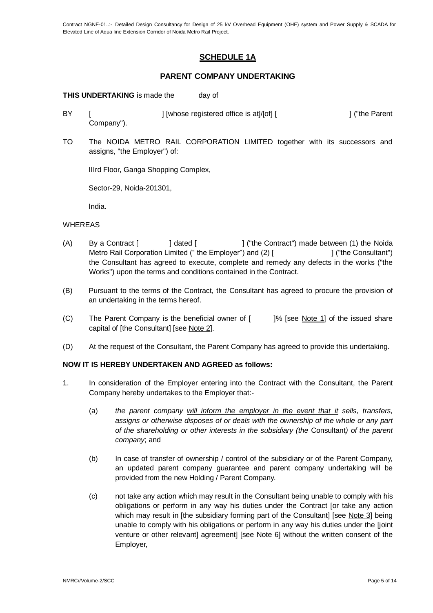Contract NGNE-01..:- Detailed Design Consultancy for Design of 25 kV Overhead Equipment (OHE) system and Power Supply & SCADA for Elevated Line of Aqua line Extension Corridor of Noida Metro Rail Project.

# **SCHEDULE 1A**

# **PARENT COMPANY UNDERTAKING**

**THIS UNDERTAKING** is made the day of

- BY [ ] [whose registered office is at]/[of] [ ] [ ] [ "the Parent Company").
- TO The NOIDA METRO RAIL CORPORATION LIMITED together with its successors and assigns, "the Employer") of:

IIIrd Floor, Ganga Shopping Complex,

Sector-29, Noida-201301,

India.

#### WHEREAS

- (A) By a Contract [ ] dated [ ] ("the Contract") made between (1) the Noida Metro Rail Corporation Limited (" the Employer") and (2) [  $\qquad \qquad$  [ ("the Consultant") the Consultant has agreed to execute, complete and remedy any defects in the works ("the Works") upon the terms and conditions contained in the Contract.
- (B) Pursuant to the terms of the Contract, the Consultant has agreed to procure the provision of an undertaking in the terms hereof.
- (C) The Parent Company is the beneficial owner of [ ]% [see Note 1] of the issued share capital of [the Consultant] [see Note 2].
- (D) At the request of the Consultant, the Parent Company has agreed to provide this undertaking.

# **NOW IT IS HEREBY UNDERTAKEN AND AGREED as follows:**

- 1. In consideration of the Employer entering into the Contract with the Consultant, the Parent Company hereby undertakes to the Employer that:-
	- (a) *the parent company will inform the employer in the event that it sells, transfers, assigns or otherwise disposes of or deals with the ownership of the whole or any part of the shareholding or other interests in the subsidiary (the* Consultant*) of the parent company*; and
	- (b) In case of transfer of ownership / control of the subsidiary or of the Parent Company, an updated parent company guarantee and parent company undertaking will be provided from the new Holding / Parent Company.
	- (c) not take any action which may result in the Consultant being unable to comply with his obligations or perform in any way his duties under the Contract [or take any action which may result in [the subsidiary forming part of the Consultant] [see Note 3] being unable to comply with his obligations or perform in any way his duties under the [joint venture or other relevant] agreement] [see Note 6] without the written consent of the Employer,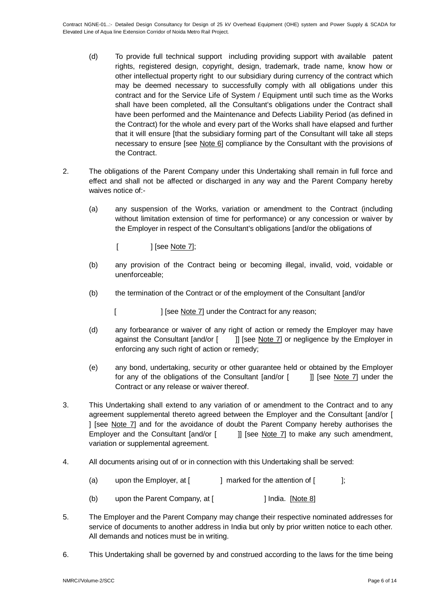- (d) To provide full technical support including providing support with available patent rights, registered design, copyright, design, trademark, trade name, know how or other intellectual property right to our subsidiary during currency of the contract which may be deemed necessary to successfully comply with all obligations under this contract and for the Service Life of System / Equipment until such time as the Works shall have been completed, all the Consultant's obligations under the Contract shall have been performed and the Maintenance and Defects Liability Period (as defined in the Contract) for the whole and every part of the Works shall have elapsed and further that it will ensure [that the subsidiary forming part of the Consultant will take all steps necessary to ensure [see Note 6] compliance by the Consultant with the provisions of the Contract.
- 2. The obligations of the Parent Company under this Undertaking shall remain in full force and effect and shall not be affected or discharged in any way and the Parent Company hereby waives notice of:-
	- (a) any suspension of the Works, variation or amendment to the Contract (including without limitation extension of time for performance) or any concession or waiver by the Employer in respect of the Consultant's obligations [and/or the obligations of
		- [ ] [see <u>Note 7]</u>;
	- (b) any provision of the Contract being or becoming illegal, invalid, void, voidable or unenforceable;
	- (b) the termination of the Contract or of the employment of the Consultant [and/or
		- [ ] [see Note 7] under the Contract for any reason;
	- (d) any forbearance or waiver of any right of action or remedy the Employer may have against the Consultant [and/or [ ]] [see Note 7] or negligence by the Employer in enforcing any such right of action or remedy;
	- (e) any bond, undertaking, security or other guarantee held or obtained by the Employer for any of the obligations of the Consultant [and/or [ ]] [see Note 7] under the Contract or any release or waiver thereof.
- 3. This Undertaking shall extend to any variation of or amendment to the Contract and to any agreement supplemental thereto agreed between the Employer and the Consultant [and/or [ ] [see Note 7] and for the avoidance of doubt the Parent Company hereby authorises the Employer and the Consultant [and/or [ ]] [see Note 7] to make any such amendment, variation or supplemental agreement.
- 4. All documents arising out of or in connection with this Undertaking shall be served:
	- (a) upon the Employer, at  $\begin{bmatrix} 1 & 1 \end{bmatrix}$  marked for the attention of  $\begin{bmatrix} 1 & 1 \end{bmatrix}$ ;
	- (b) upon the Parent Company, at [ ] India. [Note 8]
- 5. The Employer and the Parent Company may change their respective nominated addresses for service of documents to another address in India but only by prior written notice to each other. All demands and notices must be in writing.
- 6. This Undertaking shall be governed by and construed according to the laws for the time being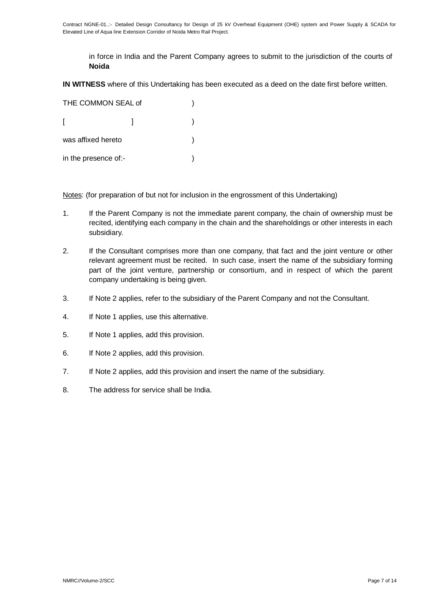in force in India and the Parent Company agrees to submit to the jurisdiction of the courts of **Noida**

**IN WITNESS** where of this Undertaking has been executed as a deed on the date first before written.

| THE COMMON SEAL of   |  |  |
|----------------------|--|--|
|                      |  |  |
| was affixed hereto   |  |  |
| in the presence of:- |  |  |

Notes: (for preparation of but not for inclusion in the engrossment of this Undertaking)

- 1. If the Parent Company is not the immediate parent company, the chain of ownership must be recited, identifying each company in the chain and the shareholdings or other interests in each subsidiary.
- 2. If the Consultant comprises more than one company, that fact and the joint venture or other relevant agreement must be recited. In such case, insert the name of the subsidiary forming part of the joint venture, partnership or consortium, and in respect of which the parent company undertaking is being given.
- 3. If Note 2 applies, refer to the subsidiary of the Parent Company and not the Consultant.
- 4. If Note 1 applies, use this alternative.
- 5. If Note 1 applies, add this provision.
- 6. If Note 2 applies, add this provision.
- 7. If Note 2 applies, add this provision and insert the name of the subsidiary.
- 8. The address for service shall be India.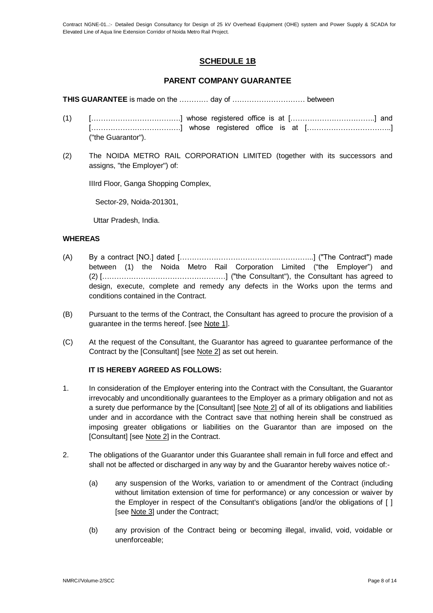# **SCHEDULE 1B**

# **PARENT COMPANY GUARANTEE**

**THIS GUARANTEE** is made on the ………… day of ………………………… between

- $(1)$   $[\dots \dots \dots \dots \dots \dots \dots]$  whose registered office is at  $[\dots \dots \dots \dots \dots \dots \dots \dots]$  and [……………………………….] whose registered office is at [……………………………..] ("the Guarantor").
- (2) The NOIDA METRO RAIL CORPORATION LIMITED (together with its successors and assigns, "the Employer") of:

IIIrd Floor, Ganga Shopping Complex,

Sector-29, Noida-201301,

Uttar Pradesh, India.

# **WHEREAS**

- (A) By a contract [NO.] dated […………………………………..…………...] ("The Contract") made between (1) the Noida Metro Rail Corporation Limited ("the Employer") and (2) [……………………………………………] ("the Consultant"), the Consultant has agreed to design, execute, complete and remedy any defects in the Works upon the terms and conditions contained in the Contract.
- (B) Pursuant to the terms of the Contract, the Consultant has agreed to procure the provision of a guarantee in the terms hereof. [see Note 1].
- (C) At the request of the Consultant, the Guarantor has agreed to guarantee performance of the Contract by the [Consultant] [see Note 2] as set out herein.

# **IT IS HEREBY AGREED AS FOLLOWS:**

- 1. In consideration of the Employer entering into the Contract with the Consultant, the Guarantor irrevocably and unconditionally guarantees to the Employer as a primary obligation and not as a surety due performance by the [Consultant] [see Note 2] of all of its obligations and liabilities under and in accordance with the Contract save that nothing herein shall be construed as imposing greater obligations or liabilities on the Guarantor than are imposed on the [Consultant] [see Note 2] in the Contract.
- 2. The obligations of the Guarantor under this Guarantee shall remain in full force and effect and shall not be affected or discharged in any way by and the Guarantor hereby waives notice of:-
	- (a) any suspension of the Works, variation to or amendment of the Contract (including without limitation extension of time for performance) or any concession or waiver by the Employer in respect of the Consultant's obligations [and/or the obligations of [ ] [see Note 3] under the Contract;
	- (b) any provision of the Contract being or becoming illegal, invalid, void, voidable or unenforceable;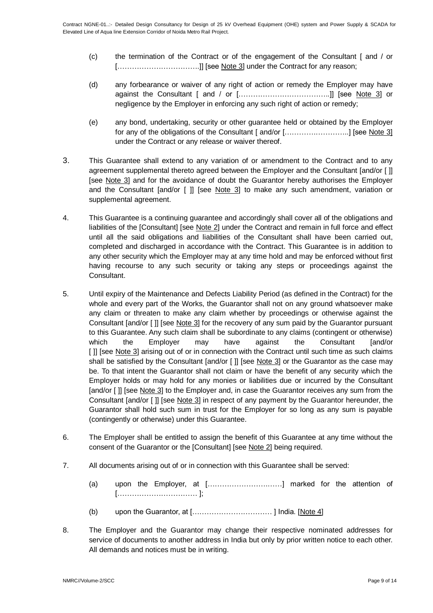- (c) the termination of the Contract or of the engagement of the Consultant [ and / or [..................................]] [see Note 3] under the Contract for any reason;
- (d) any forbearance or waiver of any right of action or remedy the Employer may have against the Consultant [ and / or [………………………………..]] [see Note 3] or negligence by the Employer in enforcing any such right of action or remedy;
- (e) any bond, undertaking, security or other guarantee held or obtained by the Employer for any of the obligations of the Consultant [ and/or [………….…………..] [see Note 3] under the Contract or any release or waiver thereof.
- 3. This Guarantee shall extend to any variation of or amendment to the Contract and to any agreement supplemental thereto agreed between the Employer and the Consultant [and/or [ ]] [see Note 3] and for the avoidance of doubt the Guarantor hereby authorises the Employer and the Consultant [and/or [ ]] [see Note 3] to make any such amendment, variation or supplemental agreement.
- 4. This Guarantee is a continuing guarantee and accordingly shall cover all of the obligations and liabilities of the [Consultant] [see Note 2] under the Contract and remain in full force and effect until all the said obligations and liabilities of the Consultant shall have been carried out, completed and discharged in accordance with the Contract. This Guarantee is in addition to any other security which the Employer may at any time hold and may be enforced without first having recourse to any such security or taking any steps or proceedings against the Consultant.
- 5. Until expiry of the Maintenance and Defects Liability Period (as defined in the Contract) for the whole and every part of the Works, the Guarantor shall not on any ground whatsoever make any claim or threaten to make any claim whether by proceedings or otherwise against the Consultant [and/or [ ]] [see Note 3] for the recovery of any sum paid by the Guarantor pursuant to this Guarantee. Any such claim shall be subordinate to any claims (contingent or otherwise) which the Employer may have against the Consultant [and/or [ ]] [see Note 3] arising out of or in connection with the Contract until such time as such claims shall be satisfied by the Consultant [and/or [ ]] [see Note 3] or the Guarantor as the case may be. To that intent the Guarantor shall not claim or have the benefit of any security which the Employer holds or may hold for any monies or liabilities due or incurred by the Consultant [and/or [ ]] [see Note 3] to the Employer and, in case the Guarantor receives any sum from the Consultant [and/or [ ]] [see Note 3] in respect of any payment by the Guarantor hereunder, the Guarantor shall hold such sum in trust for the Employer for so long as any sum is payable (contingently or otherwise) under this Guarantee.
- 6. The Employer shall be entitled to assign the benefit of this Guarantee at any time without the consent of the Guarantor or the [Consultant] [see Note 2] being required.
- 7. All documents arising out of or in connection with this Guarantee shall be served:
	- (a) upon the Employer, at […………………….……] marked for the attention of […………………………… ];
	- (b) upon the Guarantor, at […………………………… ] India. [Note 4]
- 8. The Employer and the Guarantor may change their respective nominated addresses for service of documents to another address in India but only by prior written notice to each other. All demands and notices must be in writing.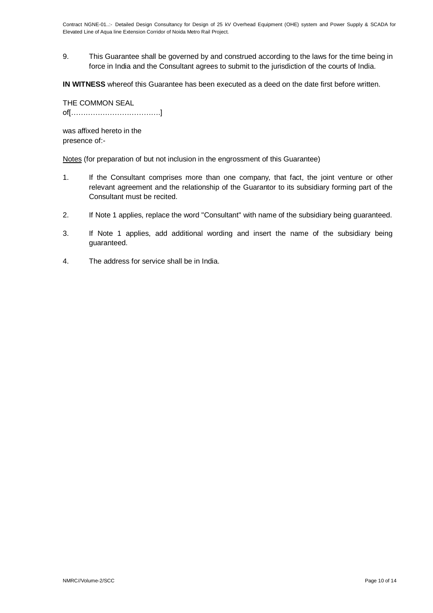9. This Guarantee shall be governed by and construed according to the laws for the time being in force in India and the Consultant agrees to submit to the jurisdiction of the courts of India.

**IN WITNESS** whereof this Guarantee has been executed as a deed on the date first before written.

THE COMMON SEAL of[……………………………….]

was affixed hereto in the presence of:-

Notes (for preparation of but not inclusion in the engrossment of this Guarantee)

- 1. If the Consultant comprises more than one company, that fact, the joint venture or other relevant agreement and the relationship of the Guarantor to its subsidiary forming part of the Consultant must be recited.
- 2. If Note 1 applies, replace the word "Consultant" with name of the subsidiary being guaranteed.
- 3. If Note 1 applies, add additional wording and insert the name of the subsidiary being guaranteed.
- 4. The address for service shall be in India.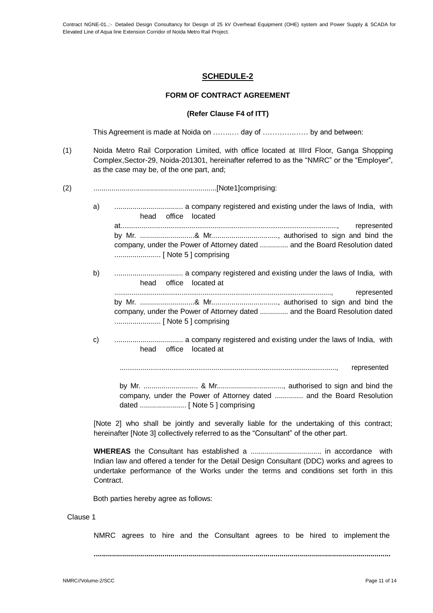# **SCHEDULE-2**

# **FORM OF CONTRACT AGREEMENT**

# **(Refer Clause F4 of ITT)**

This Agreement is made at Noida on ……..… day of ………….…… by and between:

- (1) Noida Metro Rail Corporation Limited, with office located at IIIrd Floor, Ganga Shopping Complex,Sector-29, Noida-201301, hereinafter referred to as the "NMRC" or the "Employer", as the case may be, of the one part, and;
- (2) .............................................................[Note1]comprising:
	- a) .................................. a company registered and existing under the laws of India, with head office located at................................................................................................................., represented by Mr. ...........................& Mr................................., authorised to sign and bind the company, under the Power of Attorney dated .............. and the Board Resolution dated ....................... [ Note 5 ] comprising
	- b) .................................. a company registered and existing under the laws of India, with head office located at ................................................................................................................., represented

by Mr. ...........................& Mr................................., authorised to sign and bind the company, under the Power of Attorney dated .............. and the Board Resolution dated ....................... [ Note 5 ] comprising

c) .................................. a company registered and existing under the laws of India, with head office located at

................................................................................................................., represented

by Mr. ........................... & Mr................................., authorised to sign and bind the company, under the Power of Attorney dated .............. and the Board Resolution dated ....................... [ Note 5 ] comprising

[Note 2] who shall be jointly and severally liable for the undertaking of this contract; hereinafter [Note 3] collectively referred to as the "Consultant" of the other part.

**WHEREAS** the Consultant has established a ................................... in accordance with Indian law and offered a tender for the Detail Design Consultant (DDC) works and agrees to undertake performance of the Works under the terms and conditions set forth in this Contract.

Both parties hereby agree as follows:

#### Clause 1

NMRC agrees to hire and the Consultant agrees to be hired to implement the

**...................................................................................................................................................**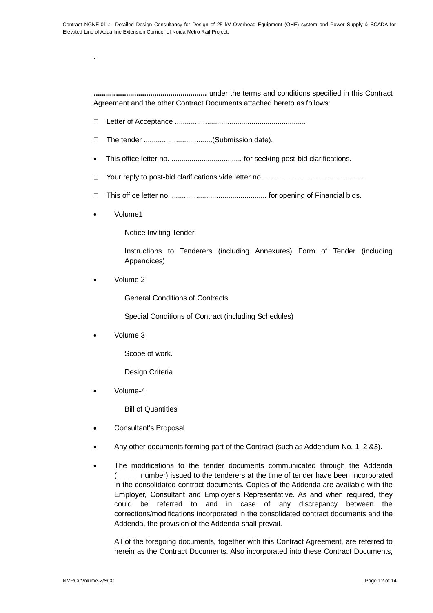**........................................................** under the terms and conditions specified in this Contract Agreement and the other Contract Documents attached hereto as follows:

- $\Box$ Letter of Acceptance .................................................................
- $\Box$ The tender ..................................(Submission date).
- This office letter no. ................................... for seeking post-bid clarifications.
- Your reply to post-bid clarifications vide letter no. .................................................  $\Box$
- $\Box$ This office letter no. ............................................... for opening of Financial bids.
- Volume1

**.**

Notice Inviting Tender

Instructions to Tenderers (including Annexures) Form of Tender (including Appendices)

Volume 2

General Conditions of Contracts

Special Conditions of Contract (including Schedules)

Volume 3

Scope of work.

Design Criteria

Volume-4

Bill of Quantities

- Consultant's Proposal
- Any other documents forming part of the Contract (such as Addendum No. 1, 2 &3).
- The modifications to the tender documents communicated through the Addenda (\_\_\_\_\_\_number) issued to the tenderers at the time of tender have been incorporated in the consolidated contract documents. Copies of the Addenda are available with the Employer, Consultant and Employer's Representative. As and when required, they could be referred to and in case of any discrepancy between the corrections/modifications incorporated in the consolidated contract documents and the Addenda, the provision of the Addenda shall prevail.

All of the foregoing documents, together with this Contract Agreement, are referred to herein as the Contract Documents. Also incorporated into these Contract Documents,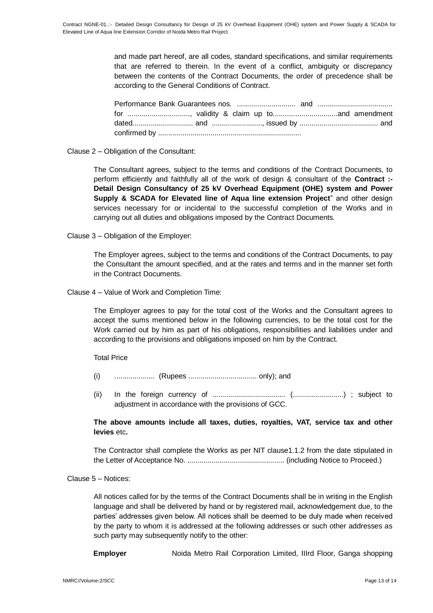and made part hereof, are all codes, standard specifications, and similar requirements that are referred to therein. In the event of a conflict, ambiguity or discrepancy between the contents of the Contract Documents, the order of precedence shall be according to the General Conditions of Contract.

Clause 2 – Obligation of the Consultant:

The Consultant agrees, subject to the terms and conditions of the Contract Documents, to perform efficiently and faithfully all of the work of design & consultant of the **Contract :- Detail Design Consultancy of 25 kV Overhead Equipment (OHE) system and Power Supply & SCADA for Elevated line of Aqua line extension Project**" and other design services necessary for or incidental to the successful completion of the Works and in carrying out all duties and obligations imposed by the Contract Documents.

Clause 3 – Obligation of the Employer:

The Employer agrees, subject to the terms and conditions of the Contract Documents, to pay the Consultant the amount specified, and at the rates and terms and in the manner set forth in the Contract Documents.

Clause 4 – Value of Work and Completion Time:

The Employer agrees to pay for the total cost of the Works and the Consultant agrees to accept the sums mentioned below in the following currencies, to be the total cost for the Work carried out by him as part of his obligations, responsibilities and liabilities under and according to the provisions and obligations imposed on him by the Contract.

Total Price

- (i) .................... (Rupees .................................. only); and
- (ii) In the foreign currency of .................................... (.........................) ; subject to adjustment in accordance with the provisions of GCC.

**The above amounts include all taxes, duties, royalties, VAT, service tax and other levies** etc**.**

The Contractor shall complete the Works as per NIT clause1.1.2 from the date stipulated in the Letter of Acceptance No. ................................................ (including Notice to Proceed.)

# Clause 5 – Notices:

All notices called for by the terms of the Contract Documents shall be in writing in the English language and shall be delivered by hand or by registered mail, acknowledgement due, to the parties' addresses given below. All notices shall be deemed to be duly made when received by the party to whom it is addressed at the following addresses or such other addresses as such party may subsequently notify to the other:

**Employer** Noida Metro Rail Corporation Limited, IIIrd Floor, Ganga shopping